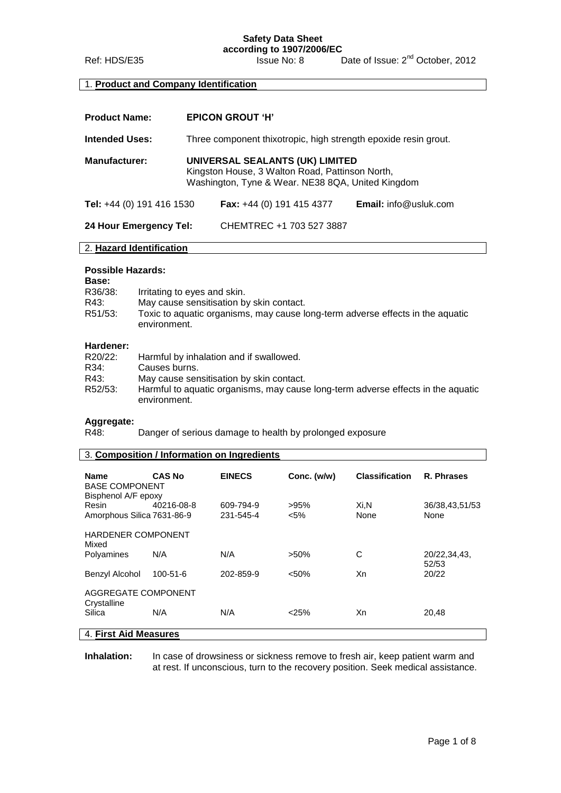**according to 1907/2006/EC**<br>**Issue No: 8** Ref: HDS/E35 Issue No: 8 Date of Issue: 2<sup>nd</sup> October, 2012

## 1. **Product and Company Identification**

| <b>Product Name:</b>      | <b>EPICON GROUT 'H'</b>                                                                                                                 |                                    |                              |
|---------------------------|-----------------------------------------------------------------------------------------------------------------------------------------|------------------------------------|------------------------------|
| <b>Intended Uses:</b>     | Three component thixotropic, high strength epoxide resin grout.                                                                         |                                    |                              |
| <b>Manufacturer:</b>      | UNIVERSAL SEALANTS (UK) LIMITED<br>Kingston House, 3 Walton Road, Pattinson North,<br>Washington, Tyne & Wear. NE38 8QA, United Kingdom |                                    |                              |
| Tel: +44 (0) 191 416 1530 |                                                                                                                                         | <b>Fax:</b> $+44$ (0) 191 415 4377 | <b>Email:</b> info@usluk.com |
| 24 Hour Emergency Tel:    |                                                                                                                                         | CHEMTREC +1 703 527 3887           |                              |

## 2. **Hazard Identification**

## **Possible Hazards:**

| Base:   |                                                                                                |
|---------|------------------------------------------------------------------------------------------------|
| R36/38: | Irritating to eyes and skin.                                                                   |
| R43:    | May cause sensitisation by skin contact.                                                       |
| R51/53: | Toxic to aquatic organisms, may cause long-term adverse effects in the aquatic<br>environment. |

## **Hardener:**

| R20/22: | Harmful by inhalation and if swallowed.                                                          |
|---------|--------------------------------------------------------------------------------------------------|
| R34:    | Causes burns.                                                                                    |
| R43:    | May cause sensitisation by skin contact.                                                         |
| R52/53: | Harmful to aquatic organisms, may cause long-term adverse effects in the aquatic<br>environment. |

# **Aggregate:**

Danger of serious damage to health by prolonged exposure

| 3. Composition / Information on Ingredients |               |                        |                 |                       |                        |
|---------------------------------------------|---------------|------------------------|-----------------|-----------------------|------------------------|
| <b>Name</b><br><b>BASE COMPONENT</b>        | <b>CAS No</b> | <b>EINECS</b>          | Conc. (w/w)     | <b>Classification</b> | R. Phrases             |
| Bisphenol A/F epoxy                         |               |                        |                 |                       |                        |
| Resin<br>Amorphous Silica 7631-86-9         | 40216-08-8    | 609-794-9<br>231-545-4 | >95%<br>$< 5\%$ | Xi.N<br>None          | 36/38,43,51/53<br>None |
| <b>HARDENER COMPONENT</b><br>Mixed          |               |                        |                 |                       |                        |
| Polyamines                                  | N/A           | N/A                    | $>50\%$         | C                     | 20/22,34,43,<br>52/53  |
| Benzyl Alcohol                              | 100-51-6      | 202-859-9              | < 50%           | Xn                    | 20/22                  |
| AGGREGATE COMPONENT<br>Crystalline          |               |                        |                 |                       |                        |
| Silica                                      | N/A           | N/A                    | $<$ 25%         | Xn                    | 20,48                  |
| 4. First Aid Measures                       |               |                        |                 |                       |                        |

#### **Inhalation:** In case of drowsiness or sickness remove to fresh air, keep patient warm and at rest. If unconscious, turn to the recovery position. Seek medical assistance.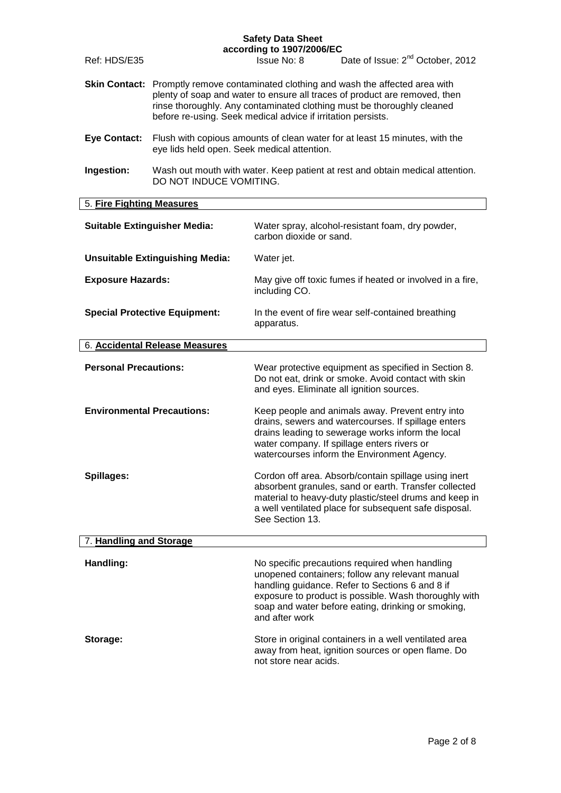|                                   |                                                                                                                                                                                                                                                                                                                    | according to 1907/2006/EC                                                   |                                                                                                                                                                                                                                                                     |
|-----------------------------------|--------------------------------------------------------------------------------------------------------------------------------------------------------------------------------------------------------------------------------------------------------------------------------------------------------------------|-----------------------------------------------------------------------------|---------------------------------------------------------------------------------------------------------------------------------------------------------------------------------------------------------------------------------------------------------------------|
| Ref: HDS/E35                      |                                                                                                                                                                                                                                                                                                                    | Issue No: 8                                                                 | Date of Issue: 2 <sup>nd</sup> October, 2012                                                                                                                                                                                                                        |
|                                   | <b>Skin Contact:</b> Promptly remove contaminated clothing and wash the affected area with<br>plenty of soap and water to ensure all traces of product are removed, then<br>rinse thoroughly. Any contaminated clothing must be thoroughly cleaned<br>before re-using. Seek medical advice if irritation persists. |                                                                             |                                                                                                                                                                                                                                                                     |
| <b>Eye Contact:</b>               | eye lids held open. Seek medical attention.                                                                                                                                                                                                                                                                        | Flush with copious amounts of clean water for at least 15 minutes, with the |                                                                                                                                                                                                                                                                     |
| Ingestion:                        | DO NOT INDUCE VOMITING.                                                                                                                                                                                                                                                                                            |                                                                             | Wash out mouth with water. Keep patient at rest and obtain medical attention.                                                                                                                                                                                       |
| 5. Fire Fighting Measures         |                                                                                                                                                                                                                                                                                                                    |                                                                             |                                                                                                                                                                                                                                                                     |
|                                   | <b>Suitable Extinguisher Media:</b>                                                                                                                                                                                                                                                                                | carbon dioxide or sand.                                                     | Water spray, alcohol-resistant foam, dry powder,                                                                                                                                                                                                                    |
|                                   | <b>Unsuitable Extinguishing Media:</b>                                                                                                                                                                                                                                                                             | Water jet.                                                                  |                                                                                                                                                                                                                                                                     |
| <b>Exposure Hazards:</b>          |                                                                                                                                                                                                                                                                                                                    | including CO.                                                               | May give off toxic fumes if heated or involved in a fire,                                                                                                                                                                                                           |
|                                   | <b>Special Protective Equipment:</b>                                                                                                                                                                                                                                                                               | apparatus.                                                                  | In the event of fire wear self-contained breathing                                                                                                                                                                                                                  |
|                                   | 6. Accidental Release Measures                                                                                                                                                                                                                                                                                     |                                                                             |                                                                                                                                                                                                                                                                     |
| <b>Personal Precautions:</b>      |                                                                                                                                                                                                                                                                                                                    | and eyes. Eliminate all ignition sources.                                   | Wear protective equipment as specified in Section 8.<br>Do not eat, drink or smoke. Avoid contact with skin                                                                                                                                                         |
| <b>Environmental Precautions:</b> |                                                                                                                                                                                                                                                                                                                    |                                                                             | Keep people and animals away. Prevent entry into<br>drains, sewers and watercourses. If spillage enters<br>drains leading to sewerage works inform the local<br>water company. If spillage enters rivers or<br>watercourses inform the Environment Agency.          |
| <b>Spillages:</b>                 |                                                                                                                                                                                                                                                                                                                    | See Section 13.                                                             | Cordon off area. Absorb/contain spillage using inert<br>absorbent granules, sand or earth. Transfer collected<br>material to heavy-duty plastic/steel drums and keep in<br>a well ventilated place for subsequent safe disposal.                                    |
| 7. Handling and Storage           |                                                                                                                                                                                                                                                                                                                    |                                                                             |                                                                                                                                                                                                                                                                     |
| Handling:                         |                                                                                                                                                                                                                                                                                                                    | and after work                                                              | No specific precautions required when handling<br>unopened containers; follow any relevant manual<br>handling guidance. Refer to Sections 6 and 8 if<br>exposure to product is possible. Wash thoroughly with<br>soap and water before eating, drinking or smoking, |
| Storage:                          |                                                                                                                                                                                                                                                                                                                    | not store near acids.                                                       | Store in original containers in a well ventilated area<br>away from heat, ignition sources or open flame. Do                                                                                                                                                        |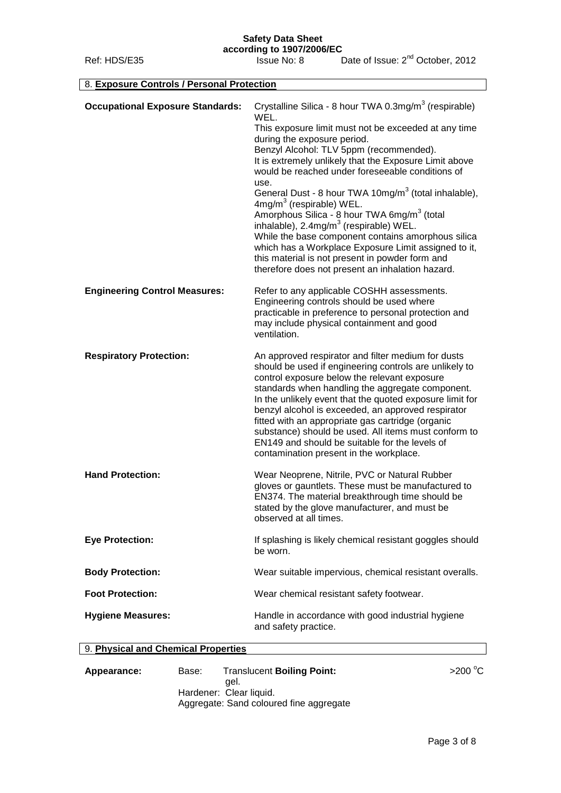| 8. Exposure Controls / Personal Protection |                                                                                                                                                                                                                                                                                                                                                                                                                                                                                                                                                                                                                                                                                                                                                                                     |
|--------------------------------------------|-------------------------------------------------------------------------------------------------------------------------------------------------------------------------------------------------------------------------------------------------------------------------------------------------------------------------------------------------------------------------------------------------------------------------------------------------------------------------------------------------------------------------------------------------------------------------------------------------------------------------------------------------------------------------------------------------------------------------------------------------------------------------------------|
| <b>Occupational Exposure Standards:</b>    | Crystalline Silica - 8 hour TWA 0.3mg/m <sup>3</sup> (respirable)<br>WEL.<br>This exposure limit must not be exceeded at any time<br>during the exposure period.<br>Benzyl Alcohol: TLV 5ppm (recommended).<br>It is extremely unlikely that the Exposure Limit above<br>would be reached under foreseeable conditions of<br>use.<br>General Dust - 8 hour TWA 10mg/m <sup>3</sup> (total inhalable),<br>4mg/m <sup>3</sup> (respirable) WEL.<br>Amorphous Silica - 8 hour TWA 6mg/m <sup>3</sup> (total<br>inhalable), 2.4mg/m <sup>3</sup> (respirable) WEL.<br>While the base component contains amorphous silica<br>which has a Workplace Exposure Limit assigned to it,<br>this material is not present in powder form and<br>therefore does not present an inhalation hazard. |
| <b>Engineering Control Measures:</b>       | Refer to any applicable COSHH assessments.<br>Engineering controls should be used where<br>practicable in preference to personal protection and<br>may include physical containment and good<br>ventilation.                                                                                                                                                                                                                                                                                                                                                                                                                                                                                                                                                                        |
| <b>Respiratory Protection:</b>             | An approved respirator and filter medium for dusts<br>should be used if engineering controls are unlikely to<br>control exposure below the relevant exposure<br>standards when handling the aggregate component.<br>In the unlikely event that the quoted exposure limit for<br>benzyl alcohol is exceeded, an approved respirator<br>fitted with an appropriate gas cartridge (organic<br>substance) should be used. All items must conform to<br>EN149 and should be suitable for the levels of<br>contamination present in the workplace.                                                                                                                                                                                                                                        |
| <b>Hand Protection:</b>                    | Wear Neoprene, Nitrile, PVC or Natural Rubber<br>gloves or gauntlets. These must be manufactured to<br>EN374. The material breakthrough time should be<br>stated by the glove manufacturer, and must be<br>observed at all times.                                                                                                                                                                                                                                                                                                                                                                                                                                                                                                                                                   |
| <b>Eye Protection:</b>                     | If splashing is likely chemical resistant goggles should<br>be worn.                                                                                                                                                                                                                                                                                                                                                                                                                                                                                                                                                                                                                                                                                                                |
| <b>Body Protection:</b>                    | Wear suitable impervious, chemical resistant overalls.                                                                                                                                                                                                                                                                                                                                                                                                                                                                                                                                                                                                                                                                                                                              |
| <b>Foot Protection:</b>                    | Wear chemical resistant safety footwear.                                                                                                                                                                                                                                                                                                                                                                                                                                                                                                                                                                                                                                                                                                                                            |
| <b>Hygiene Measures:</b>                   | Handle in accordance with good industrial hygiene<br>and safety practice.                                                                                                                                                                                                                                                                                                                                                                                                                                                                                                                                                                                                                                                                                                           |

## 9. **Physical and Chemical Properties**

Appearance: Base: Translucent Boiling Point: <br>
appearance: Base: Translucent Boiling Point: **Access** 200<sup>°</sup>C gel. Hardener: Clear liquid. Aggregate: Sand coloured fine aggregate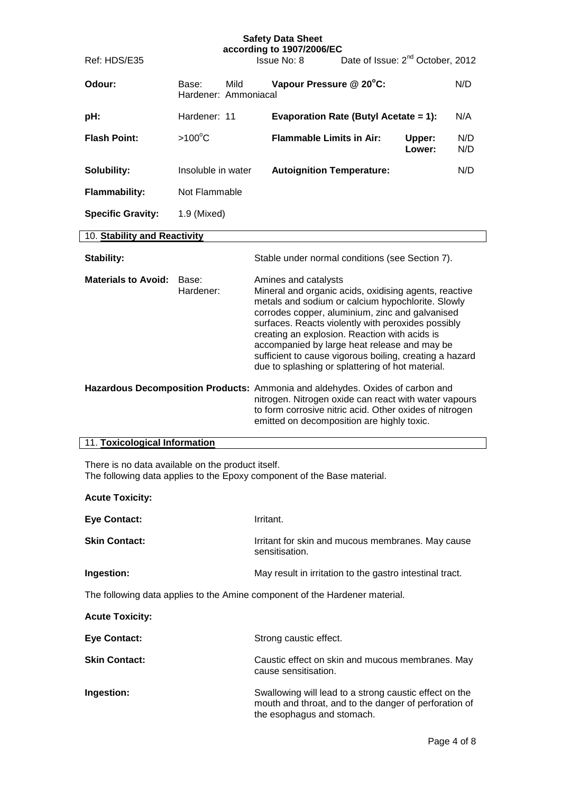| Ref: HDS/E35                                                                                                |                               |      | <b>Safety Data Sheet</b><br>according to 1907/2006/EC<br>Issue No: 8                                                                                                                                                                                                                                                                                                                                                                                                                                                                                                                                                          | Date of Issue: 2 <sup>nd</sup> October, 2012 |                  |            |
|-------------------------------------------------------------------------------------------------------------|-------------------------------|------|-------------------------------------------------------------------------------------------------------------------------------------------------------------------------------------------------------------------------------------------------------------------------------------------------------------------------------------------------------------------------------------------------------------------------------------------------------------------------------------------------------------------------------------------------------------------------------------------------------------------------------|----------------------------------------------|------------------|------------|
|                                                                                                             |                               |      |                                                                                                                                                                                                                                                                                                                                                                                                                                                                                                                                                                                                                               |                                              |                  |            |
| Odour:                                                                                                      | Base:<br>Hardener: Ammoniacal | Mild | Vapour Pressure @ 20°C:                                                                                                                                                                                                                                                                                                                                                                                                                                                                                                                                                                                                       |                                              |                  | N/D        |
| pH:                                                                                                         | Hardener: 11                  |      |                                                                                                                                                                                                                                                                                                                                                                                                                                                                                                                                                                                                                               | <b>Evaporation Rate (Butyl Acetate = 1):</b> |                  | N/A        |
| <b>Flash Point:</b>                                                                                         | $>100^{\circ}$ C              |      | <b>Flammable Limits in Air:</b>                                                                                                                                                                                                                                                                                                                                                                                                                                                                                                                                                                                               |                                              | Upper:<br>Lower: | N/D<br>N/D |
| Solubility:                                                                                                 | Insoluble in water            |      | <b>Autoignition Temperature:</b>                                                                                                                                                                                                                                                                                                                                                                                                                                                                                                                                                                                              |                                              |                  | N/D        |
| <b>Flammability:</b>                                                                                        | Not Flammable                 |      |                                                                                                                                                                                                                                                                                                                                                                                                                                                                                                                                                                                                                               |                                              |                  |            |
| <b>Specific Gravity:</b>                                                                                    | 1.9 (Mixed)                   |      |                                                                                                                                                                                                                                                                                                                                                                                                                                                                                                                                                                                                                               |                                              |                  |            |
| 10. Stability and Reactivity                                                                                |                               |      |                                                                                                                                                                                                                                                                                                                                                                                                                                                                                                                                                                                                                               |                                              |                  |            |
| Stability:                                                                                                  |                               |      | Stable under normal conditions (see Section 7).                                                                                                                                                                                                                                                                                                                                                                                                                                                                                                                                                                               |                                              |                  |            |
| <b>Materials to Avoid:</b><br>Hazardous Decomposition Products: Ammonia and aldehydes. Oxides of carbon and | Base:<br>Hardener:            |      | Amines and catalysts<br>Mineral and organic acids, oxidising agents, reactive<br>metals and sodium or calcium hypochlorite. Slowly<br>corrodes copper, aluminium, zinc and galvanised<br>surfaces. Reacts violently with peroxides possibly<br>creating an explosion. Reaction with acids is<br>accompanied by large heat release and may be<br>sufficient to cause vigorous boiling, creating a hazard<br>due to splashing or splattering of hot material.<br>nitrogen. Nitrogen oxide can react with water vapours<br>to form corrosive nitric acid. Other oxides of nitrogen<br>emitted on decomposition are highly toxic. |                                              |                  |            |
| 11. Toxicological Information                                                                               |                               |      |                                                                                                                                                                                                                                                                                                                                                                                                                                                                                                                                                                                                                               |                                              |                  |            |

There is no data available on the product itself. The following data applies to the Epoxy component of the Base material.

| <b>Acute Toxicity:</b>                                                      |                                                                                                                                               |
|-----------------------------------------------------------------------------|-----------------------------------------------------------------------------------------------------------------------------------------------|
| <b>Eye Contact:</b>                                                         | Irritant.                                                                                                                                     |
| <b>Skin Contact:</b>                                                        | Irritant for skin and mucous membranes. May cause<br>sensitisation.                                                                           |
| Ingestion:                                                                  | May result in irritation to the gastro intestinal tract.                                                                                      |
| The following data applies to the Amine component of the Hardener material. |                                                                                                                                               |
| <b>Acute Toxicity:</b>                                                      |                                                                                                                                               |
| <b>Eye Contact:</b>                                                         | Strong caustic effect.                                                                                                                        |
| <b>Skin Contact:</b>                                                        | Caustic effect on skin and mucous membranes. May<br>cause sensitisation.                                                                      |
| Ingestion:                                                                  | Swallowing will lead to a strong caustic effect on the<br>mouth and throat, and to the danger of perforation of<br>the esophagus and stomach. |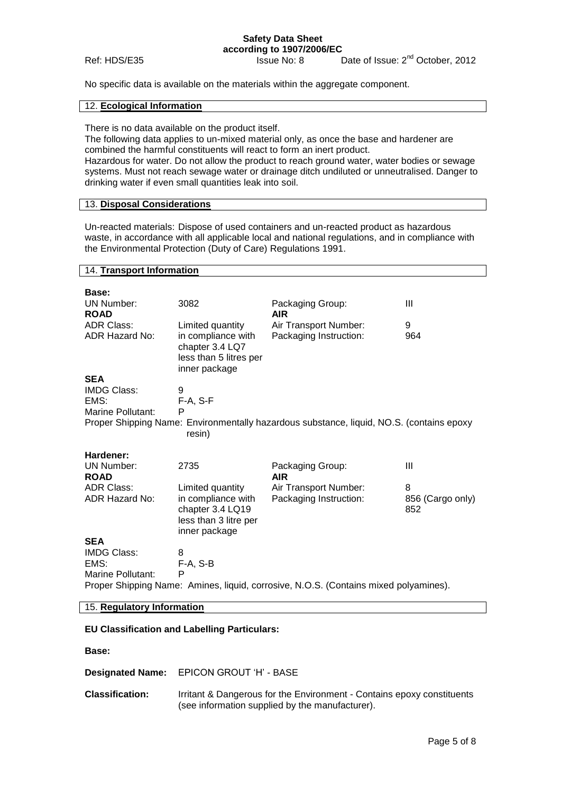#### **Safety Data Sheet according to 1907/2006/EC**

Ref: HDS/E35 Issue No: 8 Date of Issue: 2<sup>nd</sup> October, 2012

No specific data is available on the materials within the aggregate component.

#### 12. **Ecological Information**

There is no data available on the product itself.

The following data applies to un-mixed material only, as once the base and hardener are combined the harmful constituents will react to form an inert product. Hazardous for water. Do not allow the product to reach ground water, water bodies or sewage systems. Must not reach sewage water or drainage ditch undiluted or unneutralised. Danger to drinking water if even small quantities leak into soil.

#### 13. **Disposal Considerations**

Un-reacted materials: Dispose of used containers and un-reacted product as hazardous waste, in accordance with all applicable local and national regulations, and in compliance with the Environmental Protection (Duty of Care) Regulations 1991.

#### 14. **Transport Information**

| Base:                            |                                                                                  |                                                                                          |                         |
|----------------------------------|----------------------------------------------------------------------------------|------------------------------------------------------------------------------------------|-------------------------|
| <b>UN Number:</b>                | 3082                                                                             | Packaging Group:                                                                         | Ш                       |
| <b>ROAD</b><br><b>ADR Class:</b> | Limited quantity                                                                 | AIR.<br>Air Transport Number:                                                            | 9                       |
| ADR Hazard No:                   | in compliance with<br>chapter 3.4 LQ7<br>less than 5 litres per<br>inner package | Packaging Instruction:                                                                   | 964                     |
| <b>SEA</b>                       |                                                                                  |                                                                                          |                         |
| <b>IMDG Class:</b>               | 9                                                                                |                                                                                          |                         |
| EMS:                             | $F-A, S-F$                                                                       |                                                                                          |                         |
| Marine Pollutant:                | P                                                                                |                                                                                          |                         |
|                                  | resin)                                                                           | Proper Shipping Name: Environmentally hazardous substance, liquid, NO.S. (contains epoxy |                         |
| Hardener:                        |                                                                                  |                                                                                          |                         |
| <b>UN Number:</b><br><b>ROAD</b> | 2735                                                                             | Packaging Group:<br><b>AIR</b>                                                           | Ш                       |
| <b>ADR Class:</b>                | Limited quantity                                                                 | Air Transport Number:                                                                    | 8                       |
| <b>ADR Hazard No:</b>            | in compliance with<br>chapter 3.4 LQ19                                           | Packaging Instruction:                                                                   | 856 (Cargo only)<br>852 |
|                                  | less than 3 litre per<br>inner package                                           |                                                                                          |                         |
| <b>SEA</b>                       |                                                                                  |                                                                                          |                         |
| <b>IMDG Class:</b>               | 8                                                                                |                                                                                          |                         |
| EMS:                             | $F-A, S-B$                                                                       |                                                                                          |                         |
| Marine Pollutant:                | P                                                                                | Proper Shipping Name: Amines, liquid, corrosive, N.O.S. (Contains mixed polyamines).     |                         |

#### 15. **Regulatory Information**

#### **EU Classification and Labelling Particulars:**

**Base:**

**Designated Name:** EPICON GROUT 'H' - BASE

**Classification:** Irritant & Dangerous for the Environment - Contains epoxy constituents (see information supplied by the manufacturer).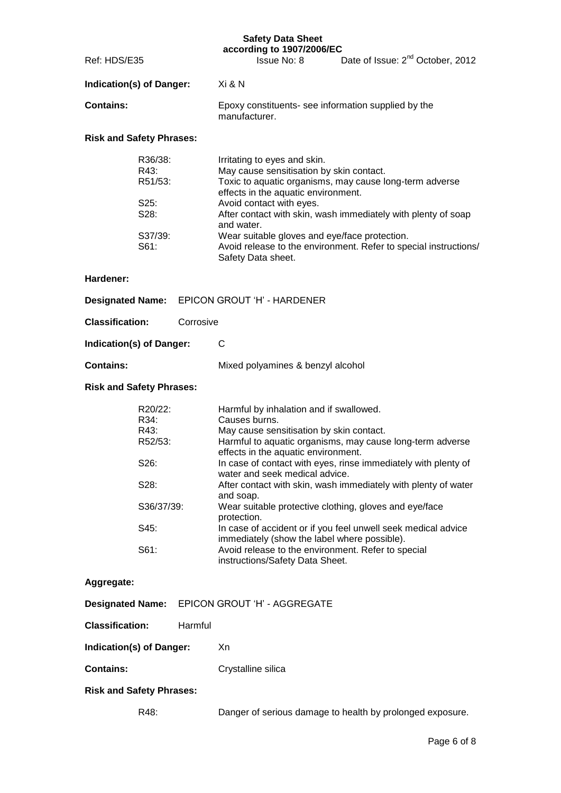|                          | according to 1907/2006/EC                                            |                                              |
|--------------------------|----------------------------------------------------------------------|----------------------------------------------|
| Ref: HDS/E35             | <b>Issue No: 8</b>                                                   | Date of Issue: 2 <sup>nd</sup> October, 2012 |
| Indication(s) of Danger: | Xi & N                                                               |                                              |
| <b>Contains:</b>         | Epoxy constituents- see information supplied by the<br>manufacturer. |                                              |

## **Risk and Safety Phrases:**

| R36/38: | Irritating to eyes and skin.                                                |
|---------|-----------------------------------------------------------------------------|
| R43:    | May cause sensitisation by skin contact.                                    |
| R51/53: | Toxic to aquatic organisms, may cause long-term adverse                     |
|         | effects in the aquatic environment.                                         |
| S25:    | Avoid contact with eyes.                                                    |
| S28:    | After contact with skin, wash immediately with plenty of soap<br>and water. |
| S37/39: | Wear suitable gloves and eye/face protection.                               |
| S61:    | Avoid release to the environment. Refer to special instructions/            |
|         | Safety Data sheet.                                                          |

### **Hardener:**

|                           | <b>Designated Name:</b> EPICON GROUT 'H' - HARDENER |                                   |
|---------------------------|-----------------------------------------------------|-----------------------------------|
| <b>Classification:</b>    | Corrosive                                           |                                   |
| Indication(s) of Danger:  |                                                     | - C                               |
| <b>Contains:</b>          |                                                     | Mixed polyamines & benzyl alcohol |
| Diele and Cefety Dhrooper |                                                     |                                   |

#### **Risk and Safety Phrases:**

| R20/22:           | Harmful by inhalation and if swallowed.                                                                       |
|-------------------|---------------------------------------------------------------------------------------------------------------|
| R34:              | Causes burns.                                                                                                 |
| R43:              | May cause sensitisation by skin contact.                                                                      |
| R52/53:           | Harmful to aquatic organisms, may cause long-term adverse<br>effects in the aquatic environment.              |
| S <sub>26</sub> : | In case of contact with eyes, rinse immediately with plenty of<br>water and seek medical advice.              |
| S28:              | After contact with skin, wash immediately with plenty of water<br>and soap.                                   |
| S36/37/39:        | Wear suitable protective clothing, gloves and eye/face<br>protection.                                         |
| S45:              | In case of accident or if you feel unwell seek medical advice<br>immediately (show the label where possible). |
| S61:              | Avoid release to the environment. Refer to special<br>instructions/Safety Data Sheet.                         |

## **Aggregate:**

| Designated Name: EPICON GROUT 'H' - AGGREGATE |
|-----------------------------------------------|
|                                               |

**Classification:** Harmful

|  | <b>Indication(s) of Danger:</b> | Xn |
|--|---------------------------------|----|
|--|---------------------------------|----|

**Contains:** Crystalline silica

### **Risk and Safety Phrases:**

R48: Danger of serious damage to health by prolonged exposure.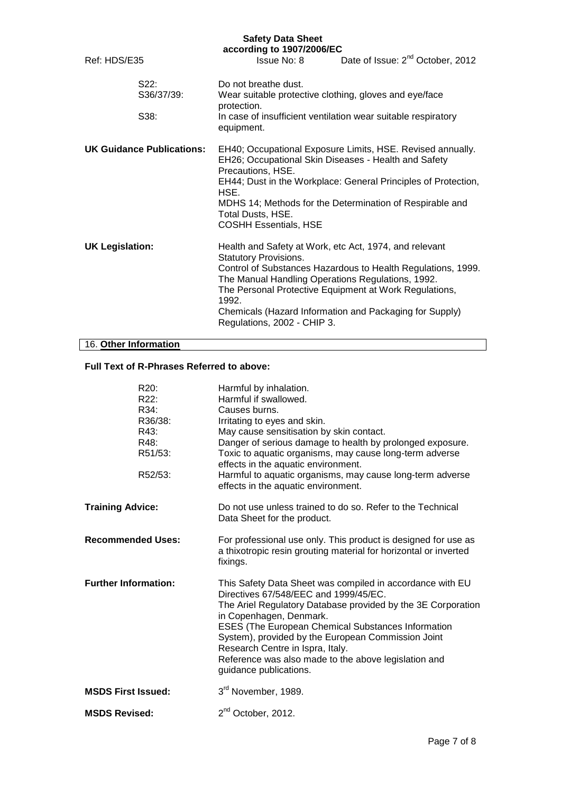|                        |                                  | according to 1907/2006/EC                                                                                                 |                                                                                                                                                                                                                                                  |
|------------------------|----------------------------------|---------------------------------------------------------------------------------------------------------------------------|--------------------------------------------------------------------------------------------------------------------------------------------------------------------------------------------------------------------------------------------------|
| Ref: HDS/E35           |                                  | Issue No: 8                                                                                                               | Date of Issue: 2 <sup>nd</sup> October, 2012                                                                                                                                                                                                     |
|                        | S22:<br>S36/37/39:<br>S38:       | Do not breathe dust.<br>protection.<br>equipment.                                                                         | Wear suitable protective clothing, gloves and eye/face<br>In case of insufficient ventilation wear suitable respiratory                                                                                                                          |
|                        | <b>UK Guidance Publications:</b> | Precautions, HSE.<br>HSE.<br>Total Dusts, HSE.<br><b>COSHH Essentials, HSE</b>                                            | EH40; Occupational Exposure Limits, HSE. Revised annually.<br>EH26; Occupational Skin Diseases - Health and Safety<br>EH44; Dust in the Workplace: General Principles of Protection,<br>MDHS 14; Methods for the Determination of Respirable and |
| <b>UK Legislation:</b> |                                  | <b>Statutory Provisions.</b><br>The Manual Handling Operations Regulations, 1992.<br>1992.<br>Regulations, 2002 - CHIP 3. | Health and Safety at Work, etc Act, 1974, and relevant<br>Control of Substances Hazardous to Health Regulations, 1999.<br>The Personal Protective Equipment at Work Regulations,<br>Chemicals (Hazard Information and Packaging for Supply)      |

## 16. **Other Information**

## **Full Text of R-Phrases Referred to above:**

| R <sub>20</sub> :<br>R22:<br>R34:<br>R36/38:<br>R43: | Harmful by inhalation.<br>Harmful if swallowed.<br>Causes burns.<br>Irritating to eyes and skin.<br>May cause sensitisation by skin contact.                                                                                                                                                                                                                                                                                    |
|------------------------------------------------------|---------------------------------------------------------------------------------------------------------------------------------------------------------------------------------------------------------------------------------------------------------------------------------------------------------------------------------------------------------------------------------------------------------------------------------|
| R48:<br>R51/53:                                      | Danger of serious damage to health by prolonged exposure.<br>Toxic to aquatic organisms, may cause long-term adverse<br>effects in the aquatic environment.                                                                                                                                                                                                                                                                     |
| R52/53:                                              | Harmful to aquatic organisms, may cause long-term adverse<br>effects in the aquatic environment.                                                                                                                                                                                                                                                                                                                                |
| <b>Training Advice:</b>                              | Do not use unless trained to do so. Refer to the Technical<br>Data Sheet for the product.                                                                                                                                                                                                                                                                                                                                       |
| <b>Recommended Uses:</b>                             | For professional use only. This product is designed for use as<br>a thixotropic resin grouting material for horizontal or inverted<br>fixings.                                                                                                                                                                                                                                                                                  |
| <b>Further Information:</b>                          | This Safety Data Sheet was compiled in accordance with EU<br>Directives 67/548/EEC and 1999/45/EC.<br>The Ariel Regulatory Database provided by the 3E Corporation<br>in Copenhagen, Denmark.<br>ESES (The European Chemical Substances Information<br>System), provided by the European Commission Joint<br>Research Centre in Ispra, Italy.<br>Reference was also made to the above legislation and<br>guidance publications. |
| <b>MSDS First Issued:</b>                            | 3rd November, 1989.                                                                                                                                                                                                                                                                                                                                                                                                             |
| <b>MSDS Revised:</b>                                 | 2 <sup>nd</sup> October, 2012.                                                                                                                                                                                                                                                                                                                                                                                                  |